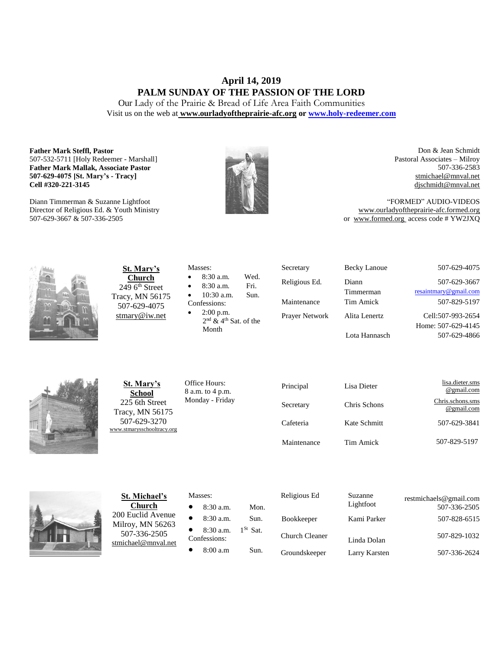# **April 14, 2019 PALM SUNDAY OF THE PASSION OF THE LORD**

Our Lady of the Prairie & Bread of Life Area Faith Communities Visit us on the web at **[www.ourladyoftheprairie-afc.org](http://www.ourladyoftheprairie-afc.org/) o[r www.holy-redeemer.com](http://www.holy-redeemer.com/)**

#### **Father Mark Steffl, Pastor** 507-532-5711 [Holy Redeemer - Marshall] **Father Mark Mallak, Associate Pastor 507-629-4075 [St. Mary's - Tracy] Cell #320-221-3145**

Diann Timmerman & Suzanne Lightfoot Director of Religious Ed. & Youth Ministry 507-629-3667 & 507-336-2505



Don & Jean Schmidt Pastoral Associates – Milroy 507-336-2583 [stmichael@mnval.net](mailto:stmichael@means.net) [djschmidt@mnval.net](mailto:djschmidt@mnval.net)

"FORMED" AUDIO-VIDEOS [www.ourladyoftheprairie-afc.formed.org](http://www.ourladyoftheprairie-afc.formed.org/) or www.formed.org access code # YW2JXQ



**St. Mary's Church**  $2496$ <sup>th</sup> Street Tracy, MN 56175 507-629-4075 [stmary@iw.net](mailto:stmary@iw.net)

|              | Masses:                             |      |  |  |
|--------------|-------------------------------------|------|--|--|
| $\bullet$    | $8:30$ a.m.                         | Wed. |  |  |
| $\bullet$    | 8:30 a.m.                           | Fri. |  |  |
| $\bullet$    | $10:30$ a.m.                        | Sun. |  |  |
| Confessions: |                                     |      |  |  |
| $\bullet$    | $2:00$ p.m.                         |      |  |  |
|              | $2nd$ & 4 <sup>th</sup> Sat. of the |      |  |  |

Secretary Becky Lanoue 507-629-4075 Religious Ed. Diann Timmerman 507-629-3667 [resaintmary@gmail.com](mailto:resaintmary@gmail.com) Maintenance Tim Amick 507-829-5197 Prayer Network Alita Lenertz Lota Hannasch Cell:507-993-2654 Home: 507-629-4145 507-629-4866



**St. Mary's School** 225 6th Street Tracy, MN 56175 507-629-3270 [www.stmarysschooltracy.org](http://www.stmarysschooltracy.org/) Office Hours: 8 a.m. to 4 p.m. Monday - Friday

Month

| Principal   | Lisa Dieter  | lisa.dieter.sms<br>@gmail.com  |
|-------------|--------------|--------------------------------|
| Secretary   | Chris Schons | Chris.schons.sms<br>@gmail.com |
| Cafeteria   | Kate Schmitt | 507-629-3841                   |
| Maintenance | Tim Amick    | 507-829-5197                   |



**St. Michael's Church** 200 Euclid Avenue Milroy, MN 56263 507-336-2505 [stmichael@mnval.net](mailto:stmichael@mnval.net)

#### Masses:

• 8:30 a.m. Mon.  $\bullet$  8:30 a.m. Sun. 8:30 a.m. 1<sup>St</sup> Sat. Confessions:  $\bullet$  8:00 a.m Sun.

| Religious Ed      | Suzanne<br>Lightfoot | restmichaels@gmail.com<br>507-336-2505 |
|-------------------|----------------------|----------------------------------------|
| <b>Bookkeeper</b> | Kami Parker          | 507-828-6515                           |
| Church Cleaner    | Linda Dolan          | 507-829-1032                           |
| Groundskeeper     | Larry Karsten        | 507-336-2624                           |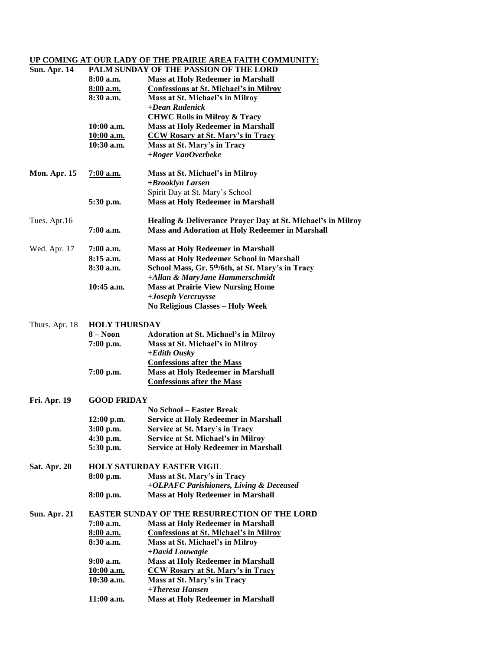## **UP COMING AT OUR LADY OF THE PRAIRIE AREA FAITH COMMUNITY:**

| <b>Sun. Apr. 14</b> | PALM SUNDAY OF THE PASSION OF THE LORD |                                                               |  |
|---------------------|----------------------------------------|---------------------------------------------------------------|--|
|                     | $8:00$ a.m.                            | <b>Mass at Holy Redeemer in Marshall</b>                      |  |
|                     | <u>8:00 a.m.</u>                       | <b>Confessions at St. Michael's in Milroy</b>                 |  |
|                     | 8:30 a.m.                              | Mass at St. Michael's in Milroy                               |  |
|                     |                                        | +Dean Rudenick                                                |  |
|                     |                                        | <b>CHWC Rolls in Milroy &amp; Tracy</b>                       |  |
|                     | $10:00$ a.m.                           | <b>Mass at Holy Redeemer in Marshall</b>                      |  |
|                     | 10:00 a.m.                             | <b>CCW Rosary at St. Mary's in Tracy</b>                      |  |
|                     | $10:30$ a.m.                           | Mass at St. Mary's in Tracy                                   |  |
|                     |                                        | +Roger VanOverbeke                                            |  |
| <b>Mon. Apr. 15</b> | <u>7:00 a.m.</u>                       | Mass at St. Michael's in Milroy                               |  |
|                     |                                        | +Brooklyn Larsen                                              |  |
|                     |                                        | Spirit Day at St. Mary's School                               |  |
|                     | 5:30 p.m.                              | <b>Mass at Holy Redeemer in Marshall</b>                      |  |
| Tues. Apr.16        |                                        | Healing & Deliverance Prayer Day at St. Michael's in Milroy   |  |
|                     | 7:00 a.m.                              | <b>Mass and Adoration at Holy Redeemer in Marshall</b>        |  |
|                     |                                        |                                                               |  |
| Wed. Apr. 17        | $7:00$ a.m.                            | <b>Mass at Holy Redeemer in Marshall</b>                      |  |
|                     | $8:15$ a.m.                            | <b>Mass at Holy Redeemer School in Marshall</b>               |  |
|                     | 8:30 a.m.                              | School Mass, Gr. 5 <sup>th</sup> /6th, at St. Mary's in Tracy |  |
|                     |                                        | +Allan & MaryJane Hammerschmidt                               |  |
|                     | $10:45$ a.m.                           | <b>Mass at Prairie View Nursing Home</b>                      |  |
|                     |                                        | +Joseph Vercruysse                                            |  |
|                     |                                        | <b>No Religious Classes - Holy Week</b>                       |  |
| Thurs. Apr. 18      | <b>HOLY THURSDAY</b>                   |                                                               |  |
|                     | $8 - N00n$                             | <b>Adoration at St. Michael's in Milroy</b>                   |  |
|                     | $7:00$ p.m.                            | Mass at St. Michael's in Milroy                               |  |
|                     |                                        | $+$ <i>Edith Ousky</i>                                        |  |
|                     |                                        | <b>Confessions after the Mass</b>                             |  |
|                     | 7:00 p.m.                              | <b>Mass at Holy Redeemer in Marshall</b>                      |  |
|                     |                                        | <b>Confessions after the Mass</b>                             |  |
| <b>Fri. Apr. 19</b> | <b>GOOD FRIDAY</b>                     |                                                               |  |
|                     |                                        | <b>No School – Easter Break</b>                               |  |
|                     | $12:00$ p.m.                           | <b>Service at Holy Redeemer in Marshall</b>                   |  |
|                     | 3:00 p.m.                              | Service at St. Mary's in Tracy                                |  |
|                     | 4:30 p.m.                              | Service at St. Michael's in Milroy                            |  |
|                     | 5:30 p.m.                              | <b>Service at Holy Redeemer in Marshall</b>                   |  |
|                     |                                        | <b>HOLY SATURDAY EASTER VIGIL</b>                             |  |
| Sat. Apr. 20        |                                        | Mass at St. Mary's in Tracy                                   |  |
|                     | 8:00 p.m.                              | +OLPAFC Parishioners, Living & Deceased                       |  |
|                     | 8:00 p.m.                              | <b>Mass at Holy Redeemer in Marshall</b>                      |  |
|                     |                                        |                                                               |  |
| <b>Sun. Apr. 21</b> |                                        | <b>EASTER SUNDAY OF THE RESURRECTION OF THE LORD</b>          |  |
|                     | 7:00 a.m.                              | <b>Mass at Holy Redeemer in Marshall</b>                      |  |
|                     | 8:00 a.m.                              | <b>Confessions at St. Michael's in Milroy</b>                 |  |
|                     | 8:30 a.m.                              | Mass at St. Michael's in Milroy<br>+David Louwagie            |  |
|                     | $9:00$ a.m.                            | <b>Mass at Holy Redeemer in Marshall</b>                      |  |
|                     | <u>10:00 a.m.</u>                      | <b>CCW Rosary at St. Mary's in Tracy</b>                      |  |
|                     | $10:30$ a.m.                           | Mass at St. Mary's in Tracy                                   |  |
|                     |                                        | +Theresa Hansen                                               |  |
|                     | 11:00 a.m.                             | <b>Mass at Holy Redeemer in Marshall</b>                      |  |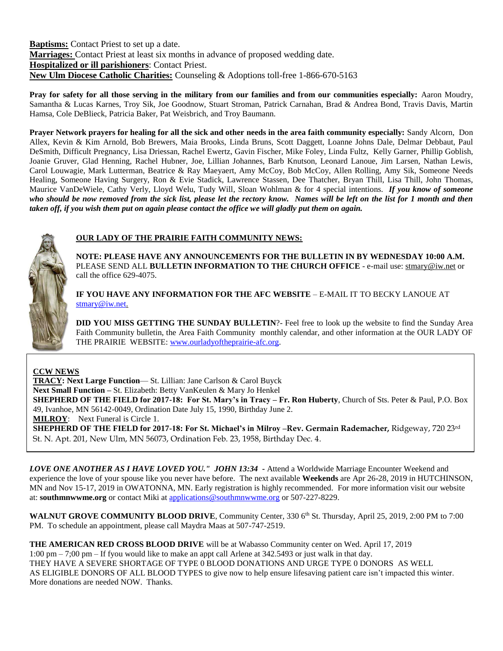**Baptisms:** Contact Priest to set up a date. **Marriages:** Contact Priest at least six months in advance of proposed wedding date. **Hospitalized or ill parishioners**: Contact Priest. **New Ulm Diocese Catholic Charities:** Counseling & Adoptions toll-free 1-866-670-5163

**Pray for safety for all those serving in the military from our families and from our communities especially:** Aaron Moudry, Samantha & Lucas Karnes, Troy Sik, Joe Goodnow, Stuart Stroman, Patrick Carnahan, Brad & Andrea Bond, Travis Davis, Martin Hamsa, Cole DeBlieck, Patricia Baker, Pat Weisbrich, and Troy Baumann.

**Prayer Network prayers for healing for all the sick and other needs in the area faith community especially:** Sandy Alcorn, Don Allex, Kevin & Kim Arnold, Bob Brewers, Maia Brooks, Linda Bruns, Scott Daggett, Loanne Johns Dale, Delmar Debbaut, Paul DeSmith, Difficult Pregnancy, Lisa Driessan, Rachel Ewertz, Gavin Fischer, Mike Foley, Linda Fultz, Kelly Garner, Phillip Goblish, Joanie Gruver, Glad Henning, Rachel Hubner, Joe, Lillian Johannes, Barb Knutson, Leonard Lanoue, Jim Larsen, Nathan Lewis, Carol Louwagie, Mark Lutterman, Beatrice & Ray Maeyaert, Amy McCoy, Bob McCoy, Allen Rolling, Amy Sik, Someone Needs Healing, Someone Having Surgery, Ron & Evie Stadick, Lawrence Stassen, Dee Thatcher, Bryan Thill, Lisa Thill, John Thomas, Maurice VanDeWiele, Cathy Verly, Lloyd Welu, Tudy Will, Sloan Wohlman & for 4 special intentions. *If you know of someone who should be now removed from the sick list, please let the rectory know. Names will be left on the list for 1 month and then taken off, if you wish them put on again please contact the office we will gladly put them on again.*



### **OUR LADY OF THE PRAIRIE FAITH COMMUNITY NEWS:**

**NOTE: PLEASE HAVE ANY ANNOUNCEMENTS FOR THE BULLETIN IN BY WEDNESDAY 10:00 A.M.** PLEASE SEND ALL **BULLETIN INFORMATION TO THE CHURCH OFFICE** - e-mail use[: stmary@iw.net](mailto:stmary@iw.net) or call the office 629-4075.

**IF YOU HAVE ANY INFORMATION FOR THE AFC WEBSITE** – E-MAIL IT TO BECKY LANOUE AT [stmary@iw.net.](mailto:stmary@iw.net)

**DID YOU MISS GETTING THE SUNDAY BULLETIN**?- Feel free to look up the website to find the Sunday Area Faith Community bulletin, the Area Faith Community monthly calendar, and other information at the OUR LADY OF THE PRAIRIE WEBSITE: [www.ourladyoftheprairie-afc.org.](http://www.ourladyoftheprairie-afc.org/)

#### **CCW NEWS**

**TRACY: Next Large Function**— St. Lillian: Jane Carlson & Carol Buyck **Next Small Function –** St. Elizabeth: Betty VanKeulen & Mary Jo Henkel **SHEPHERD OF THE FIELD for 2017-18: For St. Mary's in Tracy – Fr. Ron Huberty**, Church of Sts. Peter & Paul, P.O. Box 49, Ivanhoe, MN 56142-0049, Ordination Date July 15, 1990, Birthday June 2. **MILROY**: Next Funeral is Circle 1. **SHEPHERD OF THE FIELD for 2017-18: For St. Michael's in Milroy –Rev. Germain Rademacher,** Ridgeway, 720 23rd

St. N. Apt. 201, New Ulm, MN 56073, Ordination Feb. 23, 1958, Birthday Dec. 4.

*LOVE ONE ANOTHER AS I HAVE LOVED YOU." JOHN 13:34* **-** Attend a Worldwide Marriage Encounter Weekend and experience the love of your spouse like you never have before. The next available **Weekends** are Apr 26-28, 2019 in HUTCHINSON, MN and Nov 15-17, 2019 in OWATONNA, MN. Early registration is highly recommended. For more information visit our website at: **southmnwwme.org** or contact Miki at [applications@southmnwwme.org](mailto:wmandbethnickles@hotmail.com) or 507-227-8229.

**WALNUT GROVE COMMUNITY BLOOD DRIVE**, Community Center, 330 6<sup>th</sup> St. Thursday, April 25, 2019, 2:00 PM to 7:00 PM. To schedule an appointment, please call Maydra Maas at 507-747-2519.

**THE AMERICAN RED CROSS BLOOD DRIVE** will be at Wabasso Community center on Wed. April 17, 2019 1:00 pm – 7;00 pm – If fyou would like to make an appt call Arlene at 342.5493 or just walk in that day. THEY HAVE A SEVERE SHORTAGE OF TYPE 0 BLOOD DONATIONS AND URGE TYPE 0 DONORS AS WELL AS ELIGIBLE DONORS OF ALL BLOOD TYPES to give now to help ensure lifesaving patient care isn't impacted this winter. More donations are needed NOW. Thanks.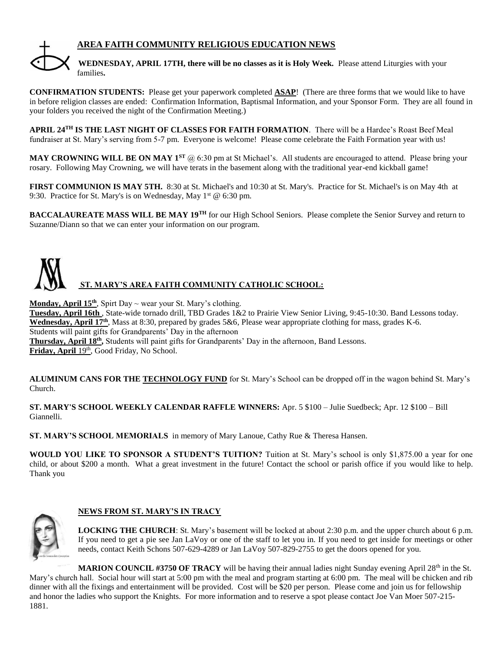# **AREA FAITH COMMUNITY RELIGIOUS EDUCATION NEWS**



**WEDNESDAY, APRIL 17TH, there will be no classes as it is Holy Week.** Please attend Liturgies with your families**.**

**CONFIRMATION STUDENTS:** Please get your paperwork completed **ASAP**! (There are three forms that we would like to have in before religion classes are ended: Confirmation Information, Baptismal Information, and your Sponsor Form. They are all found in your folders you received the night of the Confirmation Meeting.)

**APRIL 24TH IS THE LAST NIGHT OF CLASSES FOR FAITH FORMATION**. There will be a Hardee's Roast Beef Meal fundraiser at St. Mary's serving from 5-7 pm. Everyone is welcome! Please come celebrate the Faith Formation year with us!

**MAY CROWNING WILL BE ON MAY 1ST** @ 6:30 pm at St Michael's. All students are encouraged to attend. Please bring your rosary. Following May Crowning, we will have terats in the basement along with the traditional year-end kickball game!

**FIRST COMMUNION IS MAY 5TH.** 8:30 at St. Michael's and 10:30 at St. Mary's. Practice for St. Michael's is on May 4th at 9:30. Practice for St. Mary's is on Wednesday, May  $1^{st}$  @ 6:30 pm.

**BACCALAUREATE MASS WILL BE MAY 19TH** for our High School Seniors. Please complete the Senior Survey and return to Suzanne/Diann so that we can enter your information on our program.



**Monday, April 15th** , Spirt Day ~ wear your St. Mary's clothing.

**Tuesday, April 16th** , State-wide tornado drill, TBD Grades 1&2 to Prairie View Senior Living, 9:45-10:30. Band Lessons today. **Wednesday, April 17th** , Mass at 8:30, prepared by grades 5&6, Please wear appropriate clothing for mass, grades K-6. Students will paint gifts for Grandparents' Day in the afternoon Thursday, April 18<sup>th</sup>, Students will paint gifts for Grandparents' Day in the afternoon, Band Lessons. Friday, April 19<sup>th</sup>, Good Friday, No School.

**ALUMINUM CANS FOR THE TECHNOLOGY FUND** for St. Mary's School can be dropped off in the wagon behind St. Mary's Church.

**ST. MARY'S SCHOOL WEEKLY CALENDAR RAFFLE WINNERS:** Apr. 5 \$100 – Julie Suedbeck; Apr. 12 \$100 – Bill Giannelli.

**ST. MARY'S SCHOOL MEMORIALS** in memory of Mary Lanoue, Cathy Rue & Theresa Hansen.

**WOULD YOU LIKE TO SPONSOR A STUDENT'S TUITION?** Tuition at St. Mary's school is only \$1,875.00 a year for one child, or about \$200 a month. What a great investment in the future! Contact the school or parish office if you would like to help. Thank you



### **NEWS FROM ST. MARY'S IN TRACY**

**LOCKING THE CHURCH**: St. Mary's basement will be locked at about 2:30 p.m. and the upper church about 6 p.m. If you need to get a pie see Jan LaVoy or one of the staff to let you in. If you need to get inside for meetings or other needs, contact Keith Schons 507-629-4289 or Jan LaVoy 507-829-2755 to get the doors opened for you.

**MARION COUNCIL #3750 OF TRACY** will be having their annual ladies night Sunday evening April 28<sup>th</sup> in the St. Mary's church hall. Social hour will start at 5:00 pm with the meal and program starting at 6:00 pm. The meal will be chicken and rib dinner with all the fixings and entertainment will be provided. Cost will be \$20 per person. Please come and join us for fellowship and honor the ladies who support the Knights. For more information and to reserve a spot please contact Joe Van Moer 507-215- 1881.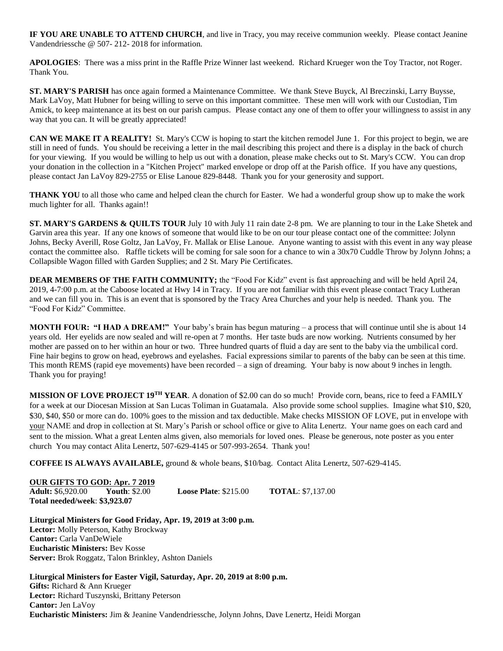**IF YOU ARE UNABLE TO ATTEND CHURCH**, and live in Tracy, you may receive communion weekly. Please contact Jeanine Vandendriessche @ 507- 212- 2018 for information.

**APOLOGIES**: There was a miss print in the Raffle Prize Winner last weekend. Richard Krueger won the Toy Tractor, not Roger. Thank You.

**ST. MARY'S PARISH** has once again formed a Maintenance Committee. We thank Steve Buyck, Al Breczinski, Larry Buysse, Mark LaVoy, Matt Hubner for being willing to serve on this important committee. These men will work with our Custodian, Tim Amick, to keep maintenance at its best on our parish campus. Please contact any one of them to offer your willingness to assist in any way that you can. It will be greatly appreciated!

**CAN WE MAKE IT A REALITY!** St. Mary's CCW is hoping to start the kitchen remodel June 1. For this project to begin, we are still in need of funds. You should be receiving a letter in the mail describing this project and there is a display in the back of church for your viewing. If you would be willing to help us out with a donation, please make checks out to St. Mary's CCW. You can drop your donation in the collection in a "Kitchen Project" marked envelope or drop off at the Parish office. If you have any questions, please contact Jan LaVoy 829-2755 or Elise Lanoue 829-8448. Thank you for your generosity and support.

**THANK YOU** to all those who came and helped clean the church for Easter. We had a wonderful group show up to make the work much lighter for all. Thanks again!!

**ST. MARY'S GARDENS & QUILTS TOUR** July 10 with July 11 rain date 2-8 pm. We are planning to tour in the Lake Shetek and Garvin area this year. If any one knows of someone that would like to be on our tour please contact one of the committee: Jolynn Johns, Becky Averill, Rose Goltz, Jan LaVoy, Fr. Mallak or Elise Lanoue. Anyone wanting to assist with this event in any way please contact the committee also. Raffle tickets will be coming for sale soon for a chance to win a 30x70 Cuddle Throw by Jolynn Johns; a Collapsible Wagon filled with Garden Supplies; and 2 St. Mary Pie Certificates.

**DEAR MEMBERS OF THE FAITH COMMUNITY;** the "Food For Kidz" event is fast approaching and will be held April 24, 2019, 4-7:00 p.m. at the Caboose located at Hwy 14 in Tracy. If you are not familiar with this event please contact Tracy Lutheran and we can fill you in. This is an event that is sponsored by the Tracy Area Churches and your help is needed. Thank you. The "Food For Kidz" Committee.

**MONTH FOUR: "I HAD A DREAM!"** Your baby's brain has begun maturing – a process that will continue until she is about 14 years old. Her eyelids are now sealed and will re-open at 7 months. Her taste buds are now working. Nutrients consumed by her mother are passed on to her within an hour or two. Three hundred quarts of fluid a day are sent to the baby via the umbilical cord. Fine hair begins to grow on head, eyebrows and eyelashes. Facial expressions similar to parents of the baby can be seen at this time. This month REMS (rapid eye movements) have been recorded – a sign of dreaming. Your baby is now about 9 inches in length. Thank you for praying!

**MISSION OF LOVE PROJECT 19TH YEAR**. A donation of \$2.00 can do so much! Provide corn, beans, rice to feed a FAMILY for a week at our Diocesan Mission at San Lucas Toliman in Guatamala. Also provide some school supplies. Imagine what \$10, \$20, \$30, \$40, \$50 or more can do. 100% goes to the mission and tax deductible. Make checks MISSION OF LOVE, put in envelope with your NAME and drop in collection at St. Mary's Parish or school office or give to Alita Lenertz. Your name goes on each card and sent to the mission. What a great Lenten alms given, also memorials for loved ones. Please be generous, note poster as you enter church You may contact Alita Lenertz, 507-629-4145 or 507-993-2654. Thank you!

**COFFEE IS ALWAYS AVAILABLE,** ground & whole beans, \$10/bag. Contact Alita Lenertz, 507-629-4145.

**OUR GIFTS TO GOD: Apr. 7 2019 Adult:** \$6,920.00 **Youth**: \$2.00 **Loose Plate**: \$215.00 **TOTAL**: \$7,137.00 **Total needed/week**: **\$3,923.07**

**Liturgical Ministers for Good Friday, Apr. 19, 2019 at 3:00 p.m. Lector:** Molly Peterson, Kathy Brockway **Cantor:** Carla VanDeWiele **Eucharistic Ministers:** Bev Kosse **Server:** Brok Roggatz, Talon Brinkley, Ashton Daniels

**Liturgical Ministers for Easter Vigil, Saturday, Apr. 20, 2019 at 8:00 p.m. Gifts:** Richard & Ann Krueger **Lector:** Richard Tuszynski, Brittany Peterson **Cantor:** Jen LaVoy **Eucharistic Ministers:** Jim & Jeanine Vandendriessche, Jolynn Johns, Dave Lenertz, Heidi Morgan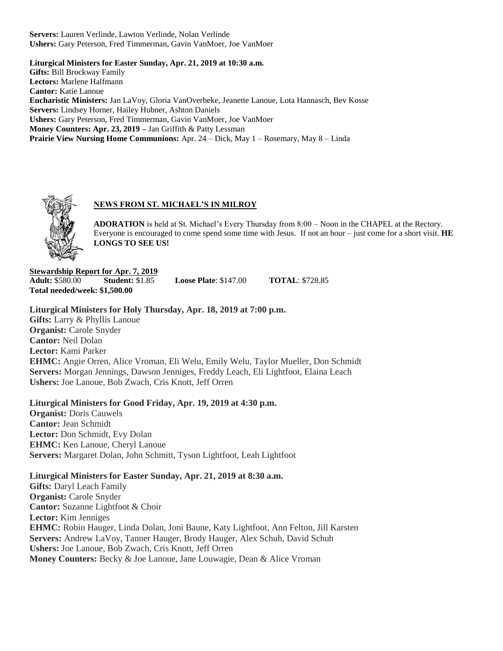**Servers:** Lauren Verlinde, Lawton Verlinde, Nolan Verlinde **Ushers:** Gary Peterson, Fred Timmerman, Gavin VanMoer, Joe VanMoer

**Liturgical Ministers for Easter Sunday, Apr. 21, 2019 at 10:30 a.m. Gifts:** Bill Brockway Family **Lectors:** Marlene Halfmann **Cantor:** Katie Lanoue **Eucharistic Ministers:** Jan LaVoy, Gloria VanOverbeke, Jeanette Lanoue, Lota Hannasch, Bev Kosse **Servers:** Lindsey Horner, Hailey Hubner, Ashton Daniels **Ushers:** Gary Peterson, Fred Timmerman, Gavin VanMoer, Joe VanMoer **Money Counters: Apr. 23, 2019 –** Jan Griffith & Patty Lessman **Prairie View Nursing Home Communions:** Apr. 24 – Dick, May 1 – Rosemary, May 8 – Linda



# **NEWS FROM ST. MICHAEL'S IN MILROY**

**ADORATION** is held at St. Michael's Every Thursday from 8:00 – Noon in the CHAPEL at the Rectory. Everyone is encouraged to come spend some time with Jesus. If not an hour – just come for a short visit. **HE LONGS TO SEE US!**

**Stewardship Report for Apr. 7, 2019 Adult:** \$580.00 **Student:** \$1.85 **Loose Plate**: \$147.00 **TOTAL**: \$728.85 **Total needed/week: \$1,500.00**

**Liturgical Ministers for Holy Thursday, Apr. 18, 2019 at 7:00 p.m. Gifts:** Larry & Phyllis Lanoue **Organist:** Carole Snyder **Cantor:** Neil Dolan **Lector:** Kami Parker **EHMC:** Angie Orren, Alice Vroman, Eli Welu, Emily Welu, Taylor Mueller, Don Schmidt **Servers:** Morgan Jennings, Dawson Jenniges, Freddy Leach, Eli Lightfoot, Elaina Leach **Ushers:** Joe Lanoue, Bob Zwach, Cris Knott, Jeff Orren

**Liturgical Ministers for Good Friday, Apr. 19, 2019 at 4:30 p.m.**

**Organist:** Doris Cauwels **Cantor:** Jean Schmidt **Lector:** Don Schmidt, Evy Dolan **EHMC:** Ken Lanoue, Cheryl Lanoue **Servers:** Margaret Dolan, John Schmitt, Tyson Lightfoot, Leah Lightfoot

**Liturgical Ministers for Easter Sunday, Apr. 21, 2019 at 8:30 a.m.**

**Gifts:** Daryl Leach Family **Organist:** Carole Snyder **Cantor:** Suzanne Lightfoot & Choir **Lector:** Kim Jenniges **EHMC:** Robin Hauger, Linda Dolan, Joni Baune, Katy Lightfoot, Ann Felton, Jill Karsten **Servers:** Andrew LaVoy, Tanner Hauger, Brody Hauger, Alex Schuh, David Schuh **Ushers:** Joe Lanoue, Bob Zwach, Cris Knott, Jeff Orren **Money Counters:** Becky & Joe Lanoue, Jane Louwagie, Dean & Alice Vroman